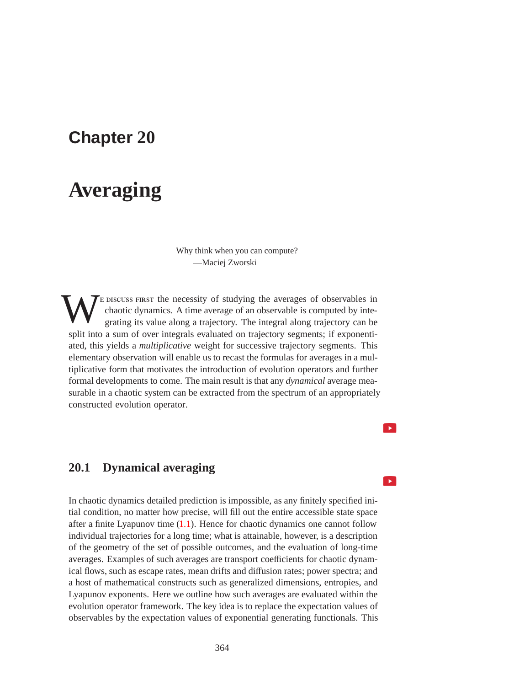## **Chapter 20**

# **Averaging**

Why think when you can compute? —Maciej Zworski

The pure set of studying the averages of observables in chaotic dynamics. A time average of an observable is computed by integrating its value along a trajectory. The integral along trajectory can be chaotic dynamics. A time average of an observable is computed by integrating its value along a trajectory. The integral along trajectory can be split into a sum of over integrals evaluated on trajectory segments; if exponentiated, this yields a *multiplicative* weight for successive trajectory segments. This elementary observation will enable us to recast the formulas for averages in a multiplicative form that motivates the introduction of evolution operators and further formal developments to come. The main result is that any *dynamical* average measurable in a chaotic system can be extracted from the spectrum of an appropriately constructed evolution operator.

## **20.1 Dynamical averaging**

In chaotic dynamics detailed prediction is impossible, as any finitely specified initial condition, no matter how precise, will fill out the entire accessible state space after a finite Lyapunov time (1.1). Hence for chaotic dynamics one cannot follow individual trajectories for a long time; what is attainable, however, is a description of the geometry of the set of possible outcomes, and the evaluation of long-time averages. Examples of such averages are transport coefficients for chaotic dynamical flows, such as escape rates, mean drifts and diffusion rates; power spectra; and a host of mathematical constructs such as generalized dimensions, entropies, and Lyapunov exponents. Here we outline how such averages are evaluated within the evolution operator framework. The key idea is to replace the expectation values of observables by the expectation values of exponential generating functionals. This

 $\rightarrow$ 

 $\blacktriangleright$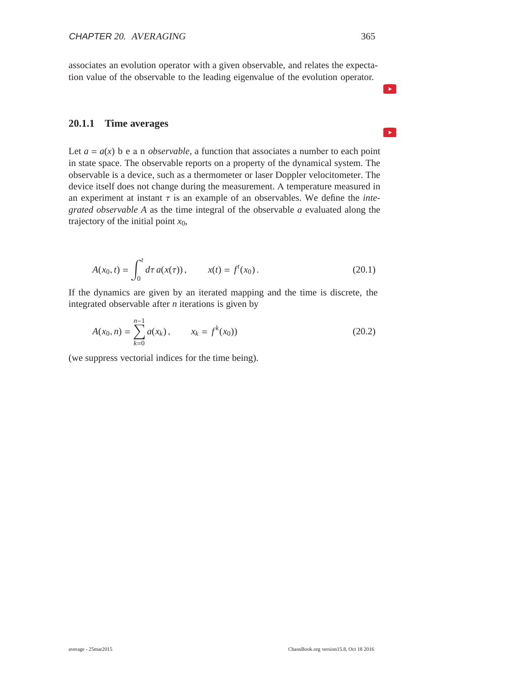associates an evolution operator with a given observable, and relates the expectation value of the observable to the leading eigenvalue of the evolution operator.

#### **20.1.1 Time averages**

Let  $a = a(x)$  b e a n *observable*, a function that associates a number to each point in state space. The observable reports on a property of the dynamical system. The observable is a device, such as a thermometer or laser Doppler velocitometer. The device itself does not change during the measurement. A temperature measured in an experiment at instant  $\tau$  is an example of an observables. We define the *integrated observable A* as the time integral of the observable *a* evaluated along the trajectory of the initial point  $x_0$ ,

$$
A(x_0, t) = \int_0^t d\tau \, a(x(\tau)), \qquad x(t) = f^t(x_0). \tag{20.1}
$$

If the dynamics are given by an iterated mapping and the time is discrete, the integrated observable after *n* iterations is given by

$$
A(x_0, n) = \sum_{k=0}^{n-1} a(x_k), \qquad x_k = f^k(x_0)
$$
 (20.2)

(we suppress vectorial indices for the time being).

 $\blacktriangleright$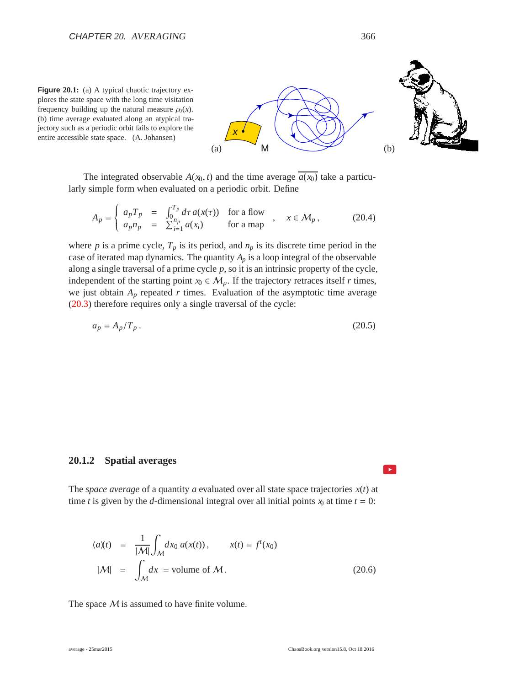



$$
A_p = \begin{cases} a_p T_p = \int_0^{T_p} d\tau a(x(\tau)) & \text{for a flow} \\ a_p n_p = \sum_{i=1}^{n_p} a(x_i) & \text{for a map} \end{cases}, \quad x \in \mathcal{M}_p, \quad (20.4)
$$

*x*

where  $p$  is a prime cycle,  $T_p$  is its period, and  $n_p$  is its discrete time period in the case of iterated map dynamics. The quantity  $A_p$  is a loop integral of the observable along a single traversal of a prime cycle *p*, so it is an intrinsic property of the cycle, independent of the starting point  $x_0 \in M_p$ . If the trajectory retraces itself *r* times, we just obtain  $A_p$  repeated  $r$  times. Evaluation of the asymptotic time average (20.3) therefore requires only a single traversal of the cycle:

$$
a_p = A_p / T_p. \tag{20.5}
$$

#### **20.1.2 Spatial averages**

The *space average* of a quantity *a* evaluated over all state space trajectories  $x(t)$  at time *t* is given by the *d*-dimensional integral over all initial points  $x_0$  at time  $t = 0$ :

$$
\langle a \rangle(t) = \frac{1}{|\mathcal{M}|} \int_{\mathcal{M}} dx_0 a(x(t)), \qquad x(t) = f^t(x_0)
$$
  

$$
|\mathcal{M}| = \int_{\mathcal{M}} dx = \text{volume of } \mathcal{M}.
$$
 (20.6)

The space  $M$  is assumed to have finite volume.



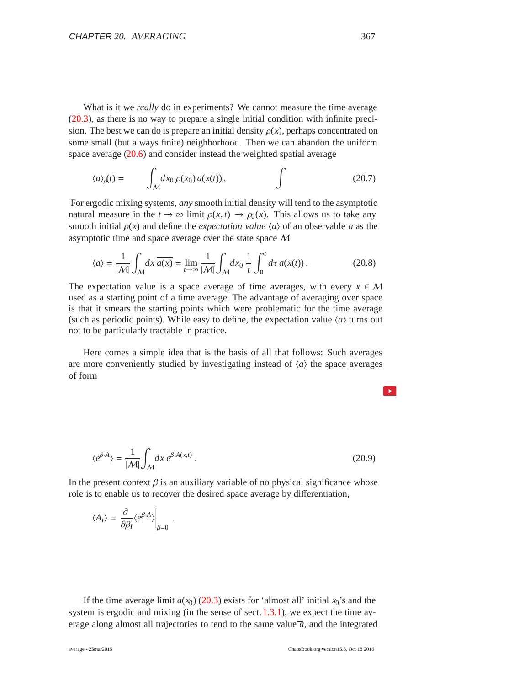What is it we *really* do in experiments? We cannot measure the time average (20.3), as there is no way to prepare a single initial condition with infinite precision. The best we can do is prepare an initial density  $\rho(x)$ , perhaps concentrated on some small (but always finite) neighborhood. Then we can abandon the uniform space average (20.6) and consider instead the weighted spatial average

$$
\langle a \rangle_{\rho}(t) = \int_{\mathcal{M}} dx_0 \, \rho(x_0) \, a(x(t)), \qquad \qquad \int \tag{20.7}
$$

For ergodic mixing systems, *any* smooth initial density will tend to the asymptotic natural measure in the  $t \to \infty$  limit  $\rho(x, t) \to \rho_0(x)$ . This allows us to take any smooth initial  $\rho(x)$  and define the *expectation value*  $\langle a \rangle$  of an observable *a* as the asymptotic time and space average over the state space M

$$
\langle a \rangle = \frac{1}{|\mathcal{M}|} \int_{\mathcal{M}} dx \, \overline{a(x)} = \lim_{t \to \infty} \frac{1}{|\mathcal{M}|} \int_{\mathcal{M}} dx_0 \, \frac{1}{t} \int_0^t d\tau \, a(x(t)) \,. \tag{20.8}
$$

The expectation value is a space average of time averages, with every  $x \in M$ used as a starting point of a time average. The advantage of averaging over space is that it smears the starting points which were problematic for the time average (such as periodic points). While easy to define, the expectation value  $\langle a \rangle$  turns out not to be particularly tractable in practice.

Here comes a simple idea that is the basis of all that follows: Such averages are more conveniently studied by investigating instead of  $\langle a \rangle$  the space averages of form

$$
\langle e^{\beta \cdot A} \rangle = \frac{1}{|\mathcal{M}|} \int_{\mathcal{M}} dx \, e^{\beta \cdot A(x,t)} \,. \tag{20.9}
$$

In the present context  $\beta$  is an auxiliary variable of no physical significance whose role is to enable us to recover the desired space average by differentiation,

$$
\langle A_i \rangle = \left. \frac{\partial}{\partial \beta_i} \langle e^{\beta \cdot A} \rangle \right|_{\beta=0} .
$$

If the time average limit  $a(x_0)$  (20.3) exists for 'almost all' initial  $x_0$ 's and the system is ergodic and mixing (in the sense of sect. 1.3.1), we expect the time average along almost all trajectories to tend to the same value  $\overline{a}$ , and the integrated

 $\rightarrow$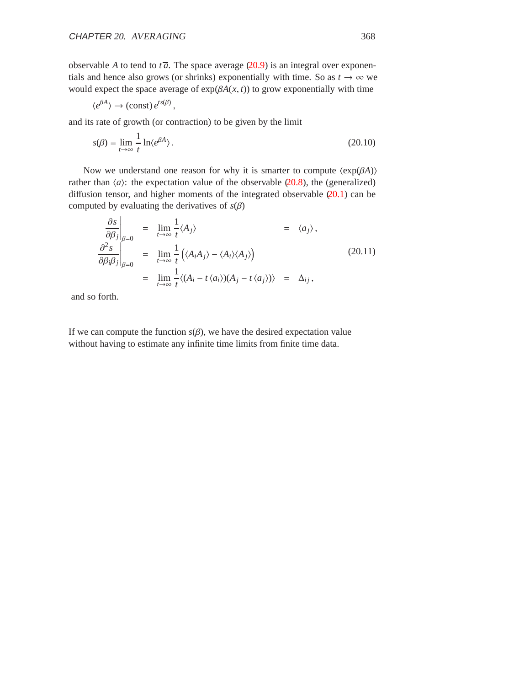observable *A* to tend to  $t\overline{a}$ . The space average (20.9) is an integral over exponentials and hence also grows (or shrinks) exponentially with time. So as  $t \to \infty$  we would expect the space average of  $exp(\beta A(x, t))$  to grow exponentially with time

$$
\langle e^{\beta A} \rangle \to \text{(const)} e^{ts(\beta)},
$$

and its rate of growth (or contraction) to be given by the limit

$$
s(\beta) = \lim_{t \to \infty} \frac{1}{t} \ln \langle e^{\beta A} \rangle. \tag{20.10}
$$

Now we understand one reason for why it is smarter to compute  $\langle \exp(\beta A) \rangle$ rather than  $\langle a \rangle$ : the expectation value of the observable  $\langle 20.8 \rangle$ , the (generalized) diffusion tensor, and higher moments of the integrated observable  $(20.1)$  can be computed by evaluating the derivatives of  $s(\beta)$ 

$$
\frac{\partial s}{\partial \beta_j}\Big|_{\beta=0} = \lim_{t \to \infty} \frac{1}{t} \langle A_j \rangle = \langle a_j \rangle,
$$
  

$$
\frac{\partial^2 s}{\partial \beta_i \beta_j}\Big|_{\beta=0} = \lim_{t \to \infty} \frac{1}{t} \Big(\langle A_i A_j \rangle - \langle A_i \rangle \langle A_j \rangle \Big)
$$
(20.11)  

$$
= \lim_{t \to \infty} \frac{1}{t} \langle (A_i - t \langle a_i \rangle)(A_j - t \langle a_j \rangle) \rangle = \Delta_{ij},
$$

and so forth.

If we can compute the function  $s(\beta)$ , we have the desired expectation value without having to estimate any infinite time limits from finite time data.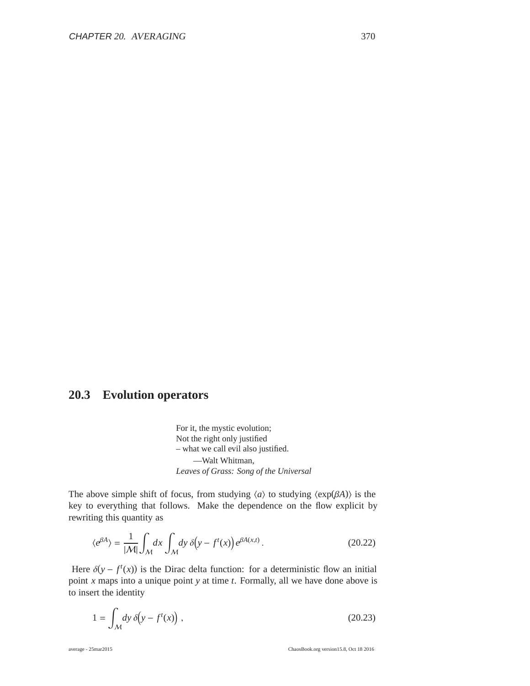## **20.3 Evolution operators**

For it, the mystic evolution; Not the right only justified – what we call evil also justified. —Walt Whitman, *Leaves of Grass: Song of the Universal*

The above simple shift of focus, from studying  $\langle a \rangle$  to studying  $\langle \exp(\beta A) \rangle$  is the key to everything that follows. Make the dependence on the flow explicit by rewriting this quantity as

$$
\langle e^{\beta A} \rangle = \frac{1}{|\mathcal{M}|} \int_{\mathcal{M}} dx \int_{\mathcal{M}} dy \, \delta(y - f^t(x)) e^{\beta A(x, t)}.
$$
 (20.22)

Here  $\delta(y - f^t(x))$  is the Dirac delta function: for a deterministic flow an initial point *x* maps into a unique point *y* at time *t*. Formally, all we have done above is to insert the identity

$$
1 = \int_{\mathcal{M}} dy \, \delta\!\left(y - f^t(x)\right),\tag{20.23}
$$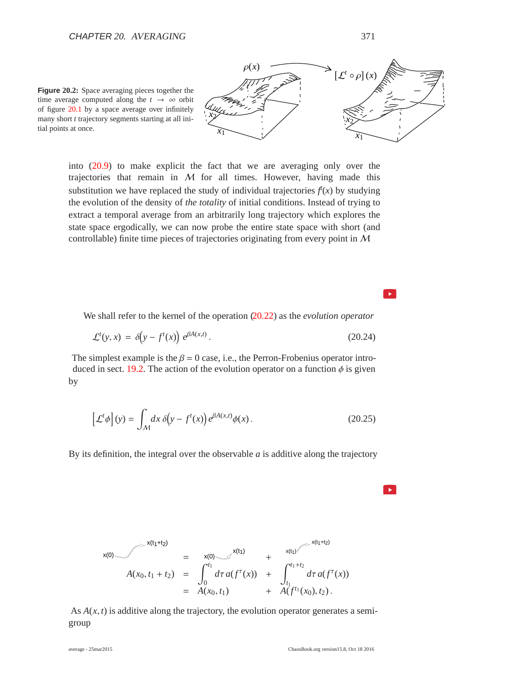$\sim$ 

 $\blacktriangleright$ 

**Figure 20.2:** Space averaging pieces together the time average computed along the  $t \rightarrow \infty$  orbit of figure 20.1 by a space average over infinitely many short *t* trajectory segments starting at all initial points at once.



into (20.9) to make explicit the fact that we are averaging only over the trajectories that remain in  $M$  for all times. However, having made this substitution we have replaced the study of individual trajectories  $f(x)$  by studying the evolution of the density of *the totality* of initial conditions. Instead of trying to extract a temporal average from an arbitrarily long trajectory which explores the state space ergodically, we can now probe the entire state space with short (and controllable) finite time pieces of trajectories originating from every point in M

We shall refer to the kernel of the operation (20.22) as the *evolution operator*

$$
\mathcal{L}^t(y, x) = \delta\!\left(y - f^t(x)\right) e^{\beta A(x, t)}.\tag{20.24}
$$

The simplest example is the  $\beta = 0$  case, i.e., the Perron-Frobenius operator introduced in sect. 19.2. The action of the evolution operator on a function  $\phi$  is given by

$$
\left[\mathcal{L}^t \phi\right](y) = \int_{\mathcal{M}} dx \,\delta\!\left(y - f^t(x)\right) e^{\beta A(x,t)} \phi(x) \,. \tag{20.25}
$$

By its definition, the integral over the observable *a* is additive along the trajectory

$$
x(0)
$$
  
\n
$$
x(0)
$$
\n
$$
x(t_1+t_2)
$$
\n
$$
= x(0)
$$
\n
$$
x(t_1)
$$
\n
$$
x(t_1+t_2)
$$
\n
$$
= \int_0^{t_1} d\tau a(f^{\tau}(x)) + \int_{t_1}^{t_1+t_2} d\tau a(f^{\tau}(x))
$$
\n
$$
= A(x_0, t_1)
$$
\n
$$
x(t_1)
$$
\n
$$
+ \int_{t_1}^{t_1+t_2} d\tau a(f^{\tau}(x))
$$

As  $A(x, t)$  is additive along the trajectory, the evolution operator generates a semigroup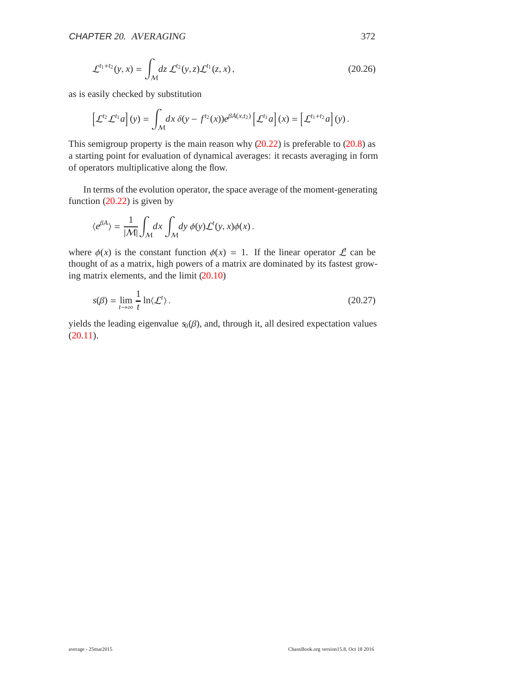$$
\mathcal{L}^{t_1+t_2}(y,x) = \int_{\mathcal{M}} dz \, \mathcal{L}^{t_2}(y,z) \mathcal{L}^{t_1}(z,x), \qquad (20.26)
$$

as is easily checked by substitution

$$
\left[\mathcal{L}^{t_2}\mathcal{L}^{t_1}a\right](y) = \int_{\mathcal{M}} dx \, \delta(y - f^{t_2}(x))e^{\beta A(x,t_2)}\left[\mathcal{L}^{t_1}a\right](x) = \left[\mathcal{L}^{t_1+t_2}a\right](y).
$$

This semigroup property is the main reason why  $(20.22)$  is preferable to  $(20.8)$  as a starting point for evaluation of dynamical averages: it recasts averaging in form of operators multiplicative along the flow.

In terms of the evolution operator, the space average of the moment-generating function  $(20.22)$  is given by

$$
\langle e^{\beta A} \rangle = \frac{1}{|\mathcal{M}|} \int_{\mathcal{M}} dx \int_{\mathcal{M}} dy \, \phi(y) \mathcal{L}^{t}(y, x) \phi(x) .
$$

where  $\phi(x)$  is the constant function  $\phi(x) = 1$ . If the linear operator  $\mathcal{L}$  can be thought of as a matrix, high powers of a matrix are dominated by its fastest growing matrix elements, and the limit (20.10)

$$
s(\beta) = \lim_{t \to \infty} \frac{1}{t} \ln \langle \mathcal{L}^t \rangle. \tag{20.27}
$$

yields the leading eigenvalue  $s_0(\beta)$ , and, through it, all desired expectation values  $(20.11).$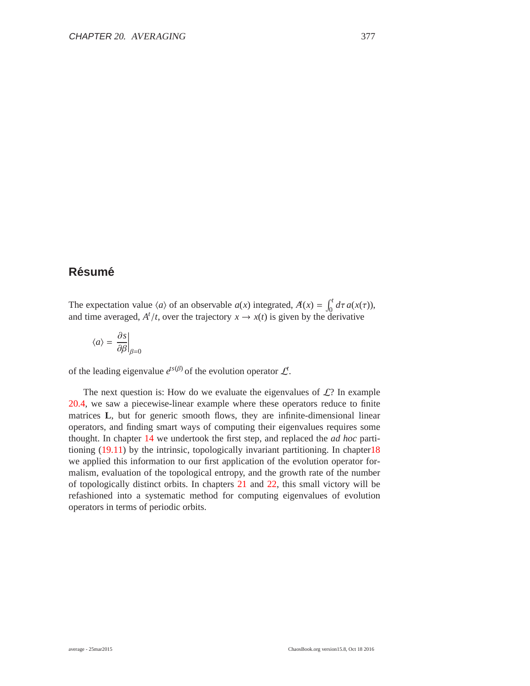## $R$ ésumé

The expectation value  $\langle a \rangle$  of an observable  $a(x)$  integrated,  $A'(x) = \int_0^t d\tau a(x(\tau))$ , and time averaged,  $A^t/t$ , over the trajectory  $x \to x(t)$  is given by the derivative

$$
\langle a \rangle = \left. \frac{\partial s}{\partial \beta} \right|_{\beta=0}
$$

of the leading eigenvalue  $e^{ts(\beta)}$  of the evolution operator  $\mathcal{L}^t$ .

The next question is: How do we evaluate the eigenvalues of  $\mathcal{L}$ ? In example 20.4, we saw a piecewise-linear example where these operators reduce to finite matrices **L**, but for generic smooth flows, they are infinite-dimensional linear operators, and finding smart ways of computing their eigenvalues requires some thought. In chapter 14 we undertook the first step, and replaced the *ad hoc* partitioning (19.11) by the intrinsic, topologically invariant partitioning. In chapter18 we applied this information to our first application of the evolution operator formalism, evaluation of the topological entropy, and the growth rate of the number of topologically distinct orbits. In chapters 21 and 22, this small victory will be refashioned into a systematic method for computing eigenvalues of evolution operators in terms of periodic orbits.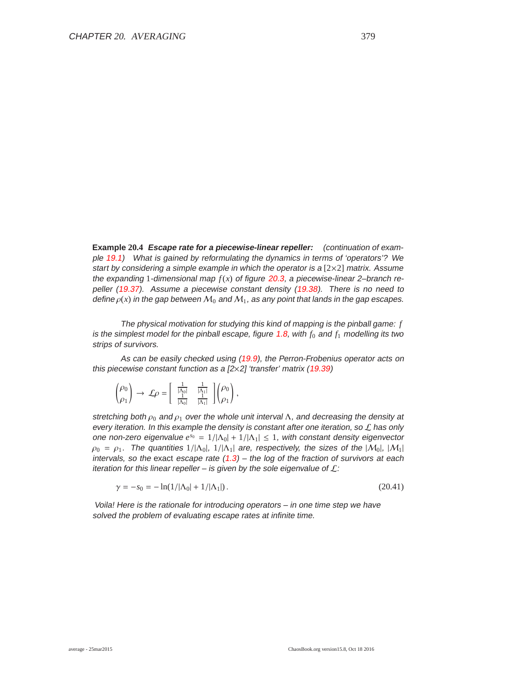**Example 20.4 Escape rate for <sup>a</sup> piecewise-linear repeller:** (continuation of example 19.1) What is gained by reformulating the dynamics in terms of 'operators'? We start by considering a simple example in which the operator is a  $[2\times2]$  matrix. Assume the expanding 1-dimensional map  $f(x)$  of figure 20.3, a piecewise-linear 2–branch repeller (19.37). Assume <sup>a</sup> piecewise constant density (19.38). There is no need to define  $\rho(x)$  in the gap between  $M_0$  and  $M_1$ , as any point that lands in the gap escapes.

The physical motivation for studying this kind of mapping is the pinball game: *f* is the simplest model for the pinball escape, figure 1.8, with  $f_0$  and  $f_1$  modelling its two strips of survivors.

As can be easily checked using (19.9), the Perron-Frobenius operator acts on this piecewise constant function as a  $[2 \times 2]$  'transfer' matrix (19.39)

$$
\begin{pmatrix} \rho_0 \\ \rho_1 \end{pmatrix} \rightarrow \mathcal{L}\rho = \begin{bmatrix} \frac{1}{|\Lambda_0|} & \frac{1}{|\Lambda_1|} \\ \frac{1}{|\Lambda_0|} & \frac{1}{|\Lambda_1|} \end{bmatrix} \begin{pmatrix} \rho_0 \\ \rho_1 \end{pmatrix},
$$

stretching both  $\rho_0$  and  $\rho_1$  over the whole unit interval  $\Lambda$ , and decreasing the density at every iteration. In this example the density is constant after one iteration, so  $\mathcal L$  has only one non-zero eigenvalue  $e^{s_0} = 1/|\Lambda_0| + 1/|\Lambda_1| \le 1$ , with constant density eigenvector  $\rho_0 = \rho_1$ . The quantities  $1/|\Lambda_0|$ ,  $1/|\Lambda_1|$  are, respectively, the sizes of the  $|\mathcal{M}_0|$ ,  $|\mathcal{M}_1|$ intervals, so the exact escape rate  $(1.3)$  – the log of the fraction of survivors at each iteration for this linear repeller – is given by the sole eigenvalue of  $\mathcal{L}$ :

$$
\gamma = -s_0 = -\ln(1/|\Lambda_0| + 1/|\Lambda_1|). \tag{20.41}
$$

Voila! Here is the rationale for introducing operators – in one time step we have solved the problem of evaluating escape rates at infinite time.